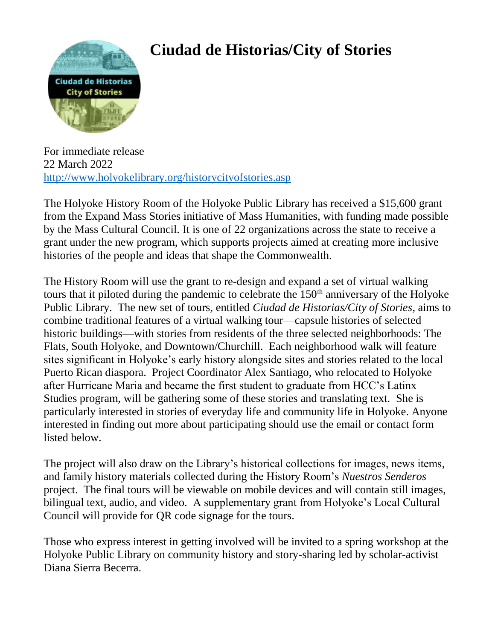

## **Ciudad de Historias/City of Stories**

For immediate release 22 March 2022 <http://www.holyokelibrary.org/historycityofstories.asp>

The Holyoke History Room of the Holyoke Public Library has received a \$15,600 grant from the Expand Mass Stories initiative of Mass Humanities, with funding made possible by the Mass Cultural Council. It is one of 22 organizations across the state to receive a grant under the new program, which supports projects aimed at creating more inclusive histories of the people and ideas that shape the Commonwealth.

The History Room will use the grant to re-design and expand a set of virtual walking tours that it piloted during the pandemic to celebrate the  $150<sup>th</sup>$  anniversary of the Holyoke Public Library. The new set of tours, entitled *Ciudad de Historias/City of Stories*, aims to combine traditional features of a virtual walking tour—capsule histories of selected historic buildings—with stories from residents of the three selected neighborhoods: The Flats, South Holyoke, and Downtown/Churchill. Each neighborhood walk will feature sites significant in Holyoke's early history alongside sites and stories related to the local Puerto Rican diaspora. Project Coordinator Alex Santiago, who relocated to Holyoke after Hurricane Maria and became the first student to graduate from HCC's Latinx Studies program, will be gathering some of these stories and translating text. She is particularly interested in stories of everyday life and community life in Holyoke. Anyone interested in finding out more about participating should use the email or contact form listed below.

The project will also draw on the Library's historical collections for images, news items, and family history materials collected during the History Room's *Nuestros Senderos* project. The final tours will be viewable on mobile devices and will contain still images, bilingual text, audio, and video. A supplementary grant from Holyoke's Local Cultural Council will provide for QR code signage for the tours.

Those who express interest in getting involved will be invited to a spring workshop at the Holyoke Public Library on community history and story-sharing led by scholar-activist Diana Sierra Becerra.